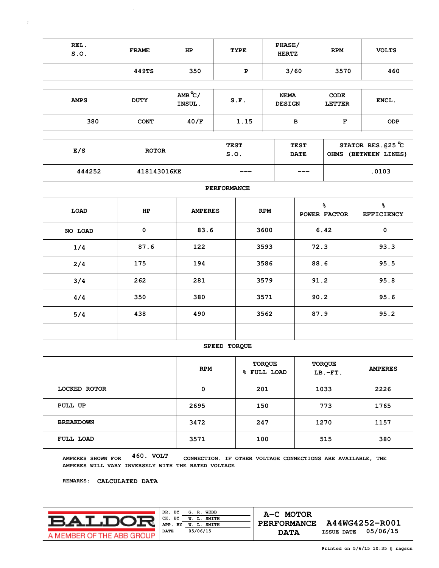| REL.<br>S.0.                                                                                        | <b>FRAME</b>        | HP         |                     |                              | <b>TYPE</b> |                              | PHASE/<br><b>HERTZ</b>     |  |                       | <b>RPM</b>     | <b>VOLTS</b>                                                |                                            |  |  |
|-----------------------------------------------------------------------------------------------------|---------------------|------------|---------------------|------------------------------|-------------|------------------------------|----------------------------|--|-----------------------|----------------|-------------------------------------------------------------|--------------------------------------------|--|--|
|                                                                                                     | 449TS               |            | 350                 |                              | ${\bf P}$   |                              |                            |  |                       | 3570           |                                                             | 460                                        |  |  |
|                                                                                                     |                     |            |                     |                              |             |                              |                            |  |                       |                |                                                             |                                            |  |  |
| <b>AMPS</b>                                                                                         | $AMB^oC/$<br>INSUL. |            |                     | S.F.                         |             | <b>NEMA</b><br><b>DESIGN</b> |                            |  | CODE<br><b>LETTER</b> | ENCL.          |                                                             |                                            |  |  |
| 380                                                                                                 | <b>CONT</b>         |            | 40/F                |                              | 1.15        |                              | в                          |  |                       | $\mathbf F$    |                                                             | ODP                                        |  |  |
|                                                                                                     |                     |            |                     |                              |             |                              |                            |  |                       |                |                                                             |                                            |  |  |
| E/S                                                                                                 | <b>ROTOR</b>        |            | <b>TEST</b><br>S.0. |                              |             |                              | <b>TEST</b><br><b>DATE</b> |  |                       |                |                                                             | STATOR RES. @25 °C<br>OHMS (BETWEEN LINES) |  |  |
| 444252                                                                                              | 418143016KE         |            |                     |                              |             |                              |                            |  |                       |                |                                                             | .0103                                      |  |  |
|                                                                                                     |                     |            |                     | PERFORMANCE                  |             |                              |                            |  |                       |                |                                                             |                                            |  |  |
| LOAD                                                                                                | HP                  |            | <b>AMPERES</b>      |                              | <b>RPM</b>  |                              |                            |  | နွ<br>POWER FACTOR    | ಕ್ಠಿ           | <b>EFFICIENCY</b>                                           |                                            |  |  |
| NO LOAD                                                                                             |                     | 83.6       |                     | 3600                         |             |                              | 6.42                       |  |                       | $\pmb{0}$      |                                                             |                                            |  |  |
| 1/4                                                                                                 | 87.6                |            | 122                 |                              |             | 3593                         |                            |  | 72.3                  |                | 93.3                                                        |                                            |  |  |
| 2/4                                                                                                 | 175                 |            | 194                 |                              |             | 3586                         |                            |  | 88.6                  |                | 95.5                                                        |                                            |  |  |
| 3/4                                                                                                 | 262                 |            | 281                 |                              |             | 3579                         |                            |  | 91.2                  |                | 95.8                                                        |                                            |  |  |
| 4/4                                                                                                 | 350                 |            | 380                 |                              |             | 3571                         |                            |  | 90.2                  |                | 95.6                                                        |                                            |  |  |
| 5/4                                                                                                 | 438                 |            | 490                 |                              |             | 3562                         |                            |  | 87.9                  |                | 95.2                                                        |                                            |  |  |
|                                                                                                     |                     |            |                     |                              |             |                              |                            |  |                       |                |                                                             |                                            |  |  |
|                                                                                                     |                     |            |                     | SPEED TORQUE                 |             |                              |                            |  |                       |                |                                                             |                                            |  |  |
|                                                                                                     |                     | <b>RPM</b> |                     | <b>TORQUE</b><br>% FULL LOAD |             |                              | <b>TORQUE</b><br>$LB.-FT.$ |  |                       | <b>AMPERES</b> |                                                             |                                            |  |  |
| LOCKED ROTOR                                                                                        |                     |            | 0                   |                              | 201         |                              |                            |  |                       | 1033           | 2226                                                        |                                            |  |  |
| PULL UP                                                                                             |                     |            | 2695                | 150                          |             |                              |                            |  | 773                   | 1765           |                                                             |                                            |  |  |
| <b>BREAKDOWN</b>                                                                                    |                     |            | 3472                |                              | 247         |                              |                            |  |                       | 1270           | 1157                                                        |                                            |  |  |
| FULL LOAD                                                                                           |                     |            | 3571                |                              | 100         |                              |                            |  |                       | 515            | 380                                                         |                                            |  |  |
| AMPERES SHOWN FOR<br>AMPERES WILL VARY INVERSELY WITH THE RATED VOLTAGE<br>REMARKS: CALCULATED DATA | 460. VOLT           |            |                     |                              |             |                              |                            |  |                       |                | CONNECTION. IF OTHER VOLTAGE CONNECTIONS ARE AVAILABLE, THE |                                            |  |  |



**G. R. WEBB W. L. SMITH DR. BY CK. BY APP. BY**

**CORMANCE A44WG4252-R001**<br>**DATA** ISSUE DATE 05/06/15 **05/06/15 05/06/15 DATA ISSUE DATE A-C MOTOR PERFORMANCE**

**Printed on 5/6/15 10:35 @ ragsun**

 $\hat{\mathbf{v}}$